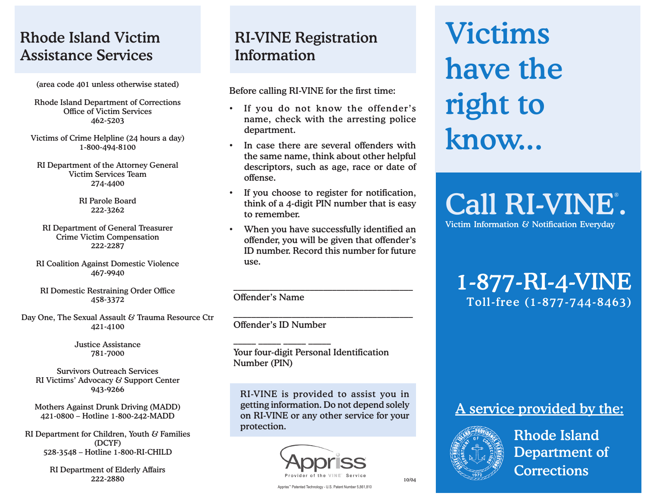# Rhode Island Victim Assistance Services

(area code 401 unless otherwise stated)

Rhode Island Department of Corrections Office of Victim Services 462-5203

Victims of Crime Helpline (24 hours a day) 1-800-494-8100

RI Department of the Attorney General Victim Services Team 274-4400

> RI Parole Board 222-3262

RI Department of General Treasurer Crime Victim Compensation 222-2287

RI Coalition Against Domestic Violence 467-9940

RI Domestic Restraining Order Office 458-3372

Day One, The Sexual Assault & Trauma Resource Ctr 421-4100

> Justice Assistance 781-7000

Survivors Outreach Services RI Victims' Advocacy & Support Center 943-9266

Mothers Against Drunk Driving (MADD) 421-0800 – Hotline 1-800-242-MADD

RI Department for Children, Youth & Families (DCYF) 528-3548 – Hotline 1-800-RI-CHILD

> RI Department of Elderly Affairs  $222-2880$  10/04

# RI-VINE Registration Information

Before calling RI-VINE for the first time:

- If you do not know the offender's name, check with the arresting police department.
- In case there are several offenders with the same name, think about other helpful descriptors, such as age, race or date of offense.
- If you choose to register for notification, think of a 4-digit PIN number that is easy to remember.
- When you have successfully identified an offender, you will be given that offender's ID number. Record this number for future use.

\_\_\_\_\_\_\_\_\_\_\_\_\_\_\_\_\_\_\_\_\_\_\_\_\_\_\_\_\_\_\_\_\_\_\_\_\_\_\_\_

\_\_\_\_\_\_\_\_\_\_\_\_\_\_\_\_\_\_\_\_\_\_\_\_\_\_\_\_\_\_\_\_\_\_\_\_\_\_\_\_

Offender's Name

Offender's ID Number

 $\_$   $\_$   $\_$   $\_$   $\_$   $\_$   $\_$   $\_$   $\_$   $\_$ 

Your four-digit Personal Identification Number (PIN)

RI-VINE is provided to assist you in getting information. Do not depend solely on RI-VINE or any other service for your protection.



# Victims have the right to know...

Call RI-VINE°. Victim Information & Notification Everyday

# 1-877-RI-4-VINE Toll-free (1-877-744-8463)

### A service provided by the:



 Rhode Island Department of **Corrections** 

Appriss™ Patented Technology - U.S. Patent Number 5,861,810